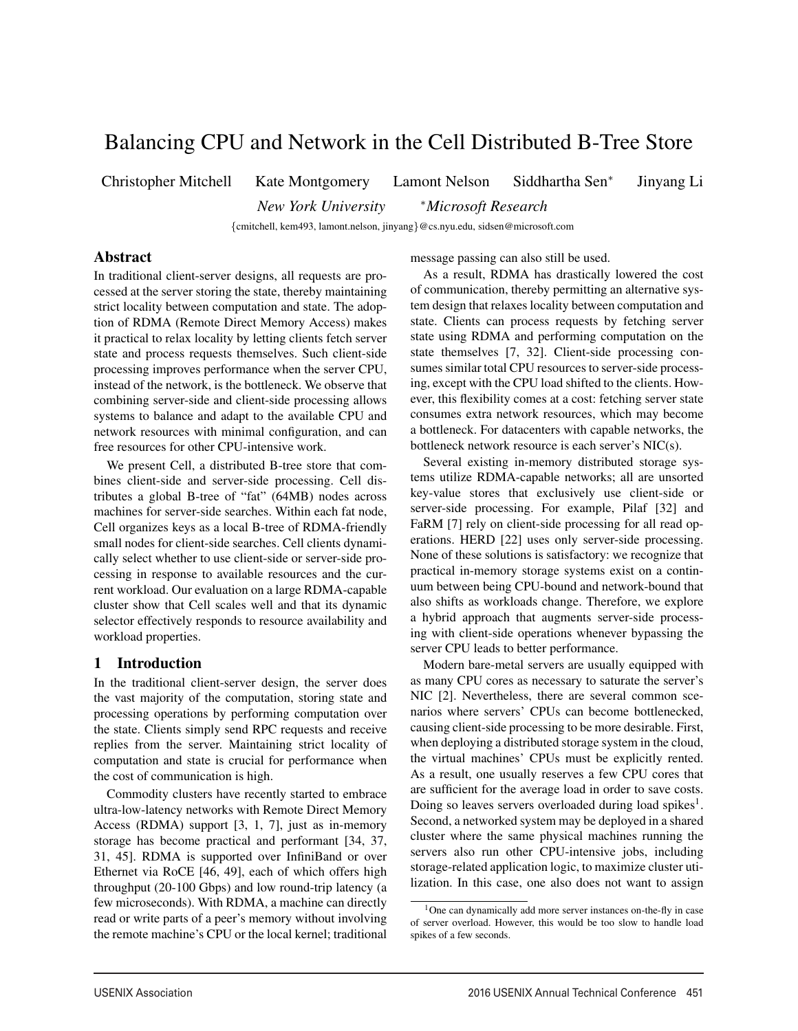# Balancing CPU and Network in the Cell Distributed B-Tree Store

Christopher Mitchell Kate Montgomery Lamont Nelson Siddhartha Sen<sup>∗</sup> Jinyang Li

*New York University* <sup>∗</sup>*Microsoft Research*

{cmitchell, kem493, lamont.nelson, jinyang}@cs.nyu.edu, sidsen@microsoft.com

1

# Abstract

In traditional client-server designs, all requests are processed at the server storing the state, thereby maintaining strict locality between computation and state. The adoption of RDMA (Remote Direct Memory Access) makes it practical to relax locality by letting clients fetch server state and process requests themselves. Such client-side processing improves performance when the server CPU, instead of the network, is the bottleneck. We observe that combining server-side and client-side processing allows systems to balance and adapt to the available CPU and network resources with minimal configuration, and can free resources for other CPU-intensive work.

We present Cell, a distributed B-tree store that combines client-side and server-side processing. Cell distributes a global B-tree of "fat" (64MB) nodes across machines for server-side searches. Within each fat node, Cell organizes keys as a local B-tree of RDMA-friendly small nodes for client-side searches. Cell clients dynamically select whether to use client-side or server-side processing in response to available resources and the current workload. Our evaluation on a large RDMA-capable cluster show that Cell scales well and that its dynamic selector effectively responds to resource availability and workload properties.

# 1 Introduction

In the traditional client-server design, the server does the vast majority of the computation, storing state and processing operations by performing computation over the state. Clients simply send RPC requests and receive replies from the server. Maintaining strict locality of computation and state is crucial for performance when the cost of communication is high.

Commodity clusters have recently started to embrace ultra-low-latency networks with Remote Direct Memory Access (RDMA) support [3, 1, 7], just as in-memory storage has become practical and performant [34, 37, 31, 45]. RDMA is supported over InfiniBand or over Ethernet via RoCE [46, 49], each of which offers high throughput (20-100 Gbps) and low round-trip latency (a few microseconds). With RDMA, a machine can directly read or write parts of a peer's memory without involving the remote machine's CPU or the local kernel; traditional message passing can also still be used.

As a result, RDMA has drastically lowered the cost of communication, thereby permitting an alternative system design that relaxes locality between computation and state. Clients can process requests by fetching server state using RDMA and performing computation on the state themselves [7, 32]. Client-side processing consumes similar total CPU resources to server-side processing, except with the CPU load shifted to the clients. However, this flexibility comes at a cost: fetching server state consumes extra network resources, which may become a bottleneck. For datacenters with capable networks, the bottleneck network resource is each server's NIC(s).

Several existing in-memory distributed storage systems utilize RDMA-capable networks; all are unsorted key-value stores that exclusively use client-side or server-side processing. For example, Pilaf [32] and FaRM [7] rely on client-side processing for all read operations. HERD [22] uses only server-side processing. None of these solutions is satisfactory: we recognize that practical in-memory storage systems exist on a continuum between being CPU-bound and network-bound that also shifts as workloads change. Therefore, we explore a hybrid approach that augments server-side processing with client-side operations whenever bypassing the server CPU leads to better performance.

Modern bare-metal servers are usually equipped with as many CPU cores as necessary to saturate the server's NIC [2]. Nevertheless, there are several common scenarios where servers' CPUs can become bottlenecked, causing client-side processing to be more desirable. First, when deploying a distributed storage system in the cloud, the virtual machines' CPUs must be explicitly rented. As a result, one usually reserves a few CPU cores that are sufficient for the average load in order to save costs. Doing so leaves servers overloaded during load spikes<sup>1</sup>. Second, a networked system may be deployed in a shared cluster where the same physical machines running the servers also run other CPU-intensive jobs, including storage-related application logic, to maximize cluster utilization. In this case, one also does not want to assign

<sup>1</sup>One can dynamically add more server instances on-the-fly in case of server overload. However, this would be too slow to handle load spikes of a few seconds.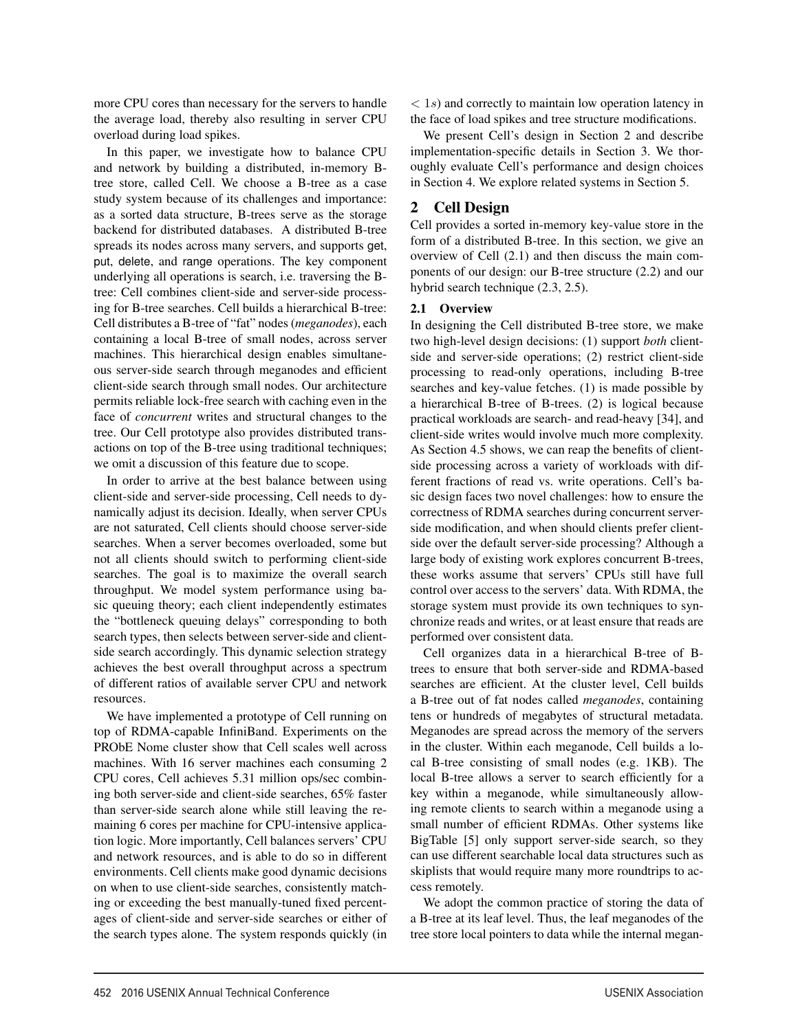more CPU cores than necessary for the servers to handle the average load, thereby also resulting in server CPU overload during load spikes.

In this paper, we investigate how to balance CPU and network by building a distributed, in-memory Btree store, called Cell. We choose a B-tree as a case study system because of its challenges and importance: as a sorted data structure, B-trees serve as the storage backend for distributed databases. A distributed B-tree spreads its nodes across many servers, and supports get, put, delete, and range operations. The key component underlying all operations is search, i.e. traversing the Btree: Cell combines client-side and server-side processing for B-tree searches. Cell builds a hierarchical B-tree: Cell distributes a B-tree of "fat" nodes (*meganodes*), each containing a local B-tree of small nodes, across server machines. This hierarchical design enables simultaneous server-side search through meganodes and efficient client-side search through small nodes. Our architecture permits reliable lock-free search with caching even in the face of *concurrent* writes and structural changes to the tree. Our Cell prototype also provides distributed transactions on top of the B-tree using traditional techniques; we omit a discussion of this feature due to scope.

In order to arrive at the best balance between using client-side and server-side processing, Cell needs to dynamically adjust its decision. Ideally, when server CPUs are not saturated, Cell clients should choose server-side searches. When a server becomes overloaded, some but not all clients should switch to performing client-side searches. The goal is to maximize the overall search throughput. We model system performance using basic queuing theory; each client independently estimates the "bottleneck queuing delays" corresponding to both search types, then selects between server-side and clientside search accordingly. This dynamic selection strategy achieves the best overall throughput across a spectrum of different ratios of available server CPU and network resources.

We have implemented a prototype of Cell running on top of RDMA-capable InfiniBand. Experiments on the PRObE Nome cluster show that Cell scales well across machines. With 16 server machines each consuming 2 CPU cores, Cell achieves 5.31 million ops/sec combining both server-side and client-side searches, 65% faster than server-side search alone while still leaving the remaining 6 cores per machine for CPU-intensive application logic. More importantly, Cell balances servers' CPU and network resources, and is able to do so in different environments. Cell clients make good dynamic decisions on when to use client-side searches, consistently matching or exceeding the best manually-tuned fixed percentages of client-side and server-side searches or either of the search types alone. The system responds quickly (in

 $\langle 1s \rangle$  and correctly to maintain low operation latency in the face of load spikes and tree structure modifications.

We present Cell's design in Section 2 and describe implementation-specific details in Section 3. We thoroughly evaluate Cell's performance and design choices in Section 4. We explore related systems in Section 5.

# 2 Cell Design

Cell provides a sorted in-memory key-value store in the form of a distributed B-tree. In this section, we give an overview of Cell (2.1) and then discuss the main components of our design: our B-tree structure (2.2) and our hybrid search technique (2.3, 2.5).

## 2.1 Overview

In designing the Cell distributed B-tree store, we make two high-level design decisions: (1) support *both* clientside and server-side operations; (2) restrict client-side processing to read-only operations, including B-tree searches and key-value fetches. (1) is made possible by a hierarchical B-tree of B-trees. (2) is logical because practical workloads are search- and read-heavy [34], and client-side writes would involve much more complexity. As Section 4.5 shows, we can reap the benefits of clientside processing across a variety of workloads with different fractions of read vs. write operations. Cell's basic design faces two novel challenges: how to ensure the correctness of RDMA searches during concurrent serverside modification, and when should clients prefer clientside over the default server-side processing? Although a large body of existing work explores concurrent B-trees, these works assume that servers' CPUs still have full control over access to the servers' data. With RDMA, the storage system must provide its own techniques to synchronize reads and writes, or at least ensure that reads are performed over consistent data.

Cell organizes data in a hierarchical B-tree of Btrees to ensure that both server-side and RDMA-based searches are efficient. At the cluster level, Cell builds a B-tree out of fat nodes called *meganodes*, containing tens or hundreds of megabytes of structural metadata. Meganodes are spread across the memory of the servers in the cluster. Within each meganode, Cell builds a local B-tree consisting of small nodes (e.g. 1KB). The local B-tree allows a server to search efficiently for a key within a meganode, while simultaneously allowing remote clients to search within a meganode using a small number of efficient RDMAs. Other systems like BigTable [5] only support server-side search, so they can use different searchable local data structures such as skiplists that would require many more roundtrips to access remotely.

We adopt the common practice of storing the data of a B-tree at its leaf level. Thus, the leaf meganodes of the tree store local pointers to data while the internal megan-

2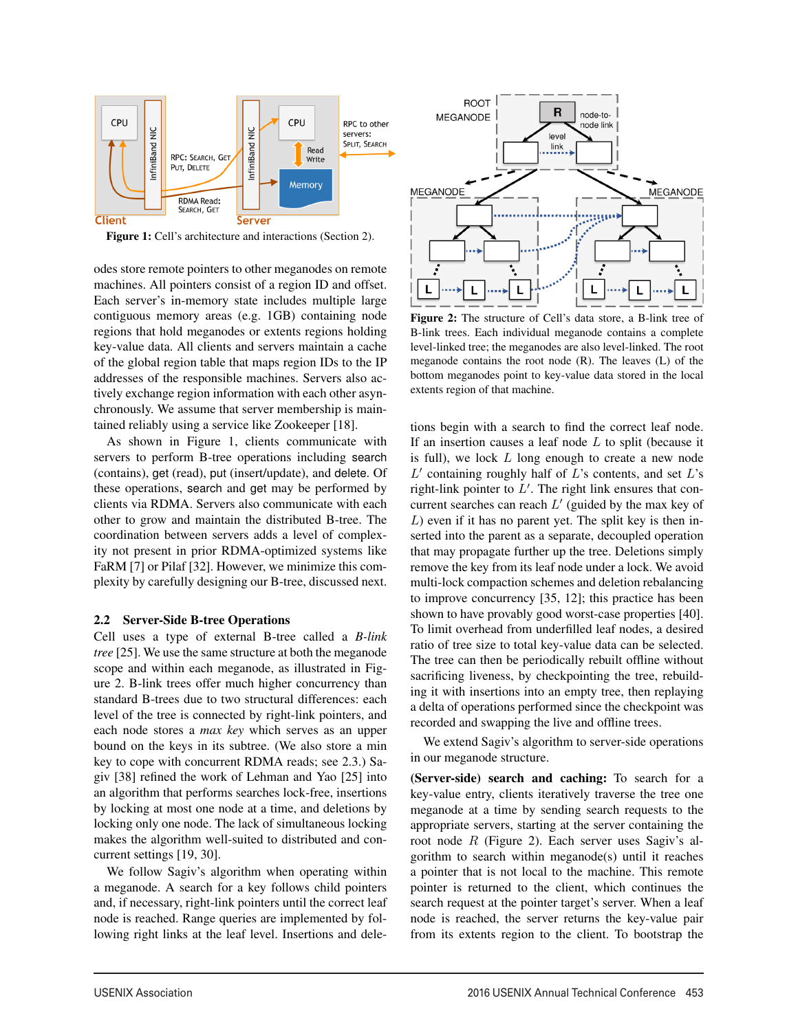

Figure 1: Cell's architecture and interactions (Section 2).

odes store remote pointers to other meganodes on remote machines. All pointers consist of a region ID and offset. Each server's in-memory state includes multiple large contiguous memory areas (e.g. 1GB) containing node regions that hold meganodes or extents regions holding key-value data. All clients and servers maintain a cache of the global region table that maps region IDs to the IP addresses of the responsible machines. Servers also actively exchange region information with each other asynchronously. We assume that server membership is maintained reliably using a service like Zookeeper [18].

As shown in Figure 1, clients communicate with servers to perform B-tree operations including search (contains), get (read), put (insert/update), and delete. Of these operations, search and get may be performed by clients via RDMA. Servers also communicate with each other to grow and maintain the distributed B-tree. The coordination between servers adds a level of complexity not present in prior RDMA-optimized systems like FaRM [7] or Pilaf [32]. However, we minimize this complexity by carefully designing our B-tree, discussed next.

## 2.2 Server-Side B-tree Operations

Cell uses a type of external B-tree called a *B-link tree* [25]. We use the same structure at both the meganode scope and within each meganode, as illustrated in Figure 2. B-link trees offer much higher concurrency than standard B-trees due to two structural differences: each level of the tree is connected by right-link pointers, and each node stores a *max key* which serves as an upper bound on the keys in its subtree. (We also store a min key to cope with concurrent RDMA reads; see 2.3.) Sagiv [38] refined the work of Lehman and Yao [25] into an algorithm that performs searches lock-free, insertions by locking at most one node at a time, and deletions by locking only one node. The lack of simultaneous locking makes the algorithm well-suited to distributed and concurrent settings [19, 30].

We follow Sagiv's algorithm when operating within a meganode. A search for a key follows child pointers and, if necessary, right-link pointers until the correct leaf node is reached. Range queries are implemented by following right links at the leaf level. Insertions and dele-

3



Figure 2: The structure of Cell's data store, a B-link tree of B-link trees. Each individual meganode contains a complete level-linked tree; the meganodes are also level-linked. The root meganode contains the root node (R). The leaves (L) of the bottom meganodes point to key-value data stored in the local extents region of that machine.

tions begin with a search to find the correct leaf node. If an insertion causes a leaf node  $L$  to split (because it is full), we lock  $L$  long enough to create a new node  $L'$  containing roughly half of  $L$ 's contents, and set  $L$ 's right-link pointer to  $L'$ . The right link ensures that concurrent searches can reach  $L'$  (guided by the max key of  $L$ ) even if it has no parent yet. The split key is then inserted into the parent as a separate, decoupled operation that may propagate further up the tree. Deletions simply remove the key from its leaf node under a lock. We avoid multi-lock compaction schemes and deletion rebalancing to improve concurrency [35, 12]; this practice has been shown to have provably good worst-case properties [40]. To limit overhead from underfilled leaf nodes, a desired ratio of tree size to total key-value data can be selected. The tree can then be periodically rebuilt offline without sacrificing liveness, by checkpointing the tree, rebuilding it with insertions into an empty tree, then replaying a delta of operations performed since the checkpoint was recorded and swapping the live and offline trees.

We extend Sagiv's algorithm to server-side operations in our meganode structure.

(Server-side) search and caching: To search for a key-value entry, clients iteratively traverse the tree one meganode at a time by sending search requests to the appropriate servers, starting at the server containing the root node R (Figure 2). Each server uses Sagiv's algorithm to search within meganode(s) until it reaches a pointer that is not local to the machine. This remote pointer is returned to the client, which continues the search request at the pointer target's server. When a leaf node is reached, the server returns the key-value pair from its extents region to the client. To bootstrap the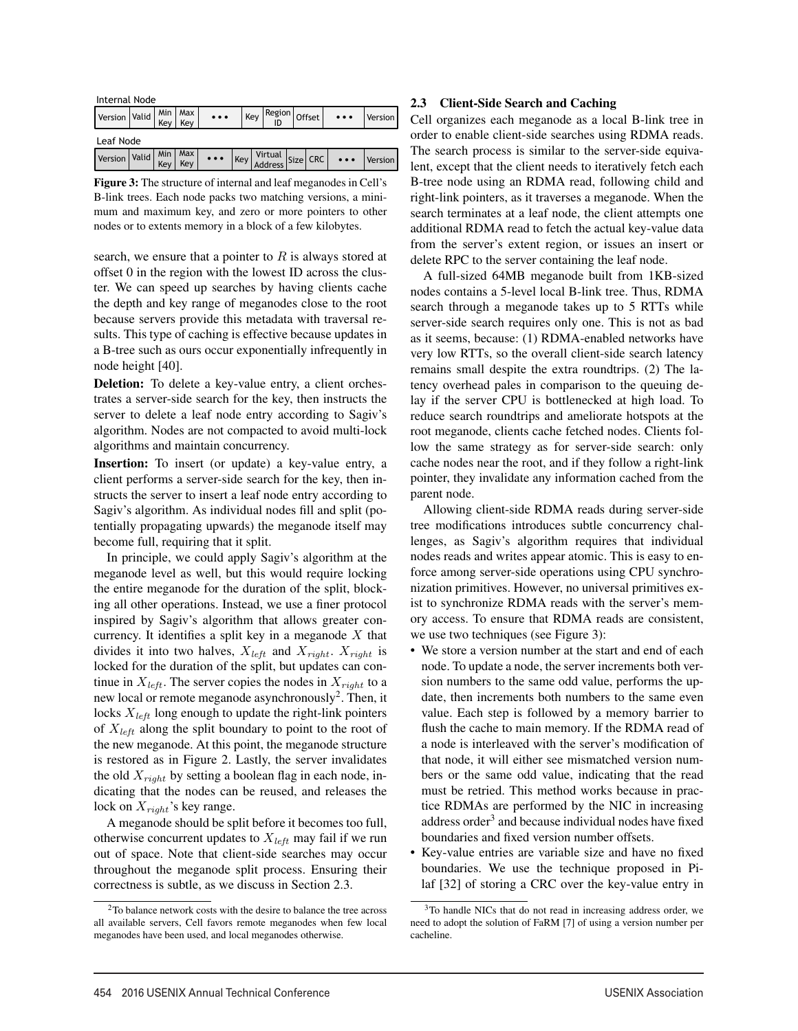| Internal Node                                                             |  |  |  |                                                                                                                                                                                                                                                                             |  |  |  |                              |           |                |
|---------------------------------------------------------------------------|--|--|--|-----------------------------------------------------------------------------------------------------------------------------------------------------------------------------------------------------------------------------------------------------------------------------|--|--|--|------------------------------|-----------|----------------|
| Version Valid $\begin{vmatrix}$ Min $\end{vmatrix}$ Max $\begin{vmatrix}$ |  |  |  | $\ddotsc$                                                                                                                                                                                                                                                                   |  |  |  | $Key$ Region $\sigma$ Offset | $\ddotsc$ | <b>Version</b> |
| Leaf Node                                                                 |  |  |  |                                                                                                                                                                                                                                                                             |  |  |  |                              |           |                |
| Version Valid Min Max                                                     |  |  |  | $\begin{array}{ c c c c c c } \hline \cdots & \begin{array}{ c c c }\hline \cdots & \begin{array}{ c c }\hline \cdots & \begin{array}{ c c }\hline \cdots & \begin{array}{ c c }\hline \cdots & \begin{array}{ c c }\hline \end{array} \end{array} \end{array} \end{array}$ |  |  |  |                              |           | Version        |

Figure 3: The structure of internal and leaf meganodes in Cell's B-link trees. Each node packs two matching versions, a minimum and maximum key, and zero or more pointers to other nodes or to extents memory in a block of a few kilobytes.

search, we ensure that a pointer to  $R$  is always stored at offset 0 in the region with the lowest ID across the cluster. We can speed up searches by having clients cache the depth and key range of meganodes close to the root because servers provide this metadata with traversal results. This type of caching is effective because updates in a B-tree such as ours occur exponentially infrequently in node height [40].

Deletion: To delete a key-value entry, a client orchestrates a server-side search for the key, then instructs the server to delete a leaf node entry according to Sagiv's algorithm. Nodes are not compacted to avoid multi-lock algorithms and maintain concurrency.

Insertion: To insert (or update) a key-value entry, a client performs a server-side search for the key, then instructs the server to insert a leaf node entry according to Sagiv's algorithm. As individual nodes fill and split (potentially propagating upwards) the meganode itself may become full, requiring that it split.

In principle, we could apply Sagiv's algorithm at the meganode level as well, but this would require locking the entire meganode for the duration of the split, blocking all other operations. Instead, we use a finer protocol inspired by Sagiv's algorithm that allows greater concurrency. It identifies a split key in a meganode  $X$  that divides it into two halves,  $X_{left}$  and  $X_{right}$ .  $X_{right}$  is locked for the duration of the split, but updates can continue in  $X_{left}$ . The server copies the nodes in  $X_{right}$  to a new local or remote meganode asynchronously<sup>2</sup>. Then, it locks  $X_{left}$  long enough to update the right-link pointers of  $X_{left}$  along the split boundary to point to the root of the new meganode. At this point, the meganode structure is restored as in Figure 2. Lastly, the server invalidates the old  $X_{right}$  by setting a boolean flag in each node, indicating that the nodes can be reused, and releases the lock on  $X_{right}$ 's key range.

A meganode should be split before it becomes too full, otherwise concurrent updates to  $X_{left}$  may fail if we run out of space. Note that client-side searches may occur throughout the meganode split process. Ensuring their correctness is subtle, as we discuss in Section 2.3.

4

## 2.3 Client-Side Search and Caching

Cell organizes each meganode as a local B-link tree in order to enable client-side searches using RDMA reads. The search process is similar to the server-side equivalent, except that the client needs to iteratively fetch each B-tree node using an RDMA read, following child and right-link pointers, as it traverses a meganode. When the search terminates at a leaf node, the client attempts one additional RDMA read to fetch the actual key-value data from the server's extent region, or issues an insert or delete RPC to the server containing the leaf node.

A full-sized 64MB meganode built from 1KB-sized nodes contains a 5-level local B-link tree. Thus, RDMA search through a meganode takes up to 5 RTTs while server-side search requires only one. This is not as bad as it seems, because: (1) RDMA-enabled networks have very low RTTs, so the overall client-side search latency remains small despite the extra roundtrips. (2) The latency overhead pales in comparison to the queuing delay if the server CPU is bottlenecked at high load. To reduce search roundtrips and ameliorate hotspots at the root meganode, clients cache fetched nodes. Clients follow the same strategy as for server-side search: only cache nodes near the root, and if they follow a right-link pointer, they invalidate any information cached from the parent node.

Allowing client-side RDMA reads during server-side tree modifications introduces subtle concurrency challenges, as Sagiv's algorithm requires that individual nodes reads and writes appear atomic. This is easy to enforce among server-side operations using CPU synchronization primitives. However, no universal primitives exist to synchronize RDMA reads with the server's memory access. To ensure that RDMA reads are consistent, we use two techniques (see Figure 3):

- We store a version number at the start and end of each node. To update a node, the server increments both version numbers to the same odd value, performs the update, then increments both numbers to the same even value. Each step is followed by a memory barrier to flush the cache to main memory. If the RDMA read of a node is interleaved with the server's modification of that node, it will either see mismatched version numbers or the same odd value, indicating that the read must be retried. This method works because in practice RDMAs are performed by the NIC in increasing address order<sup>3</sup> and because individual nodes have fixed boundaries and fixed version number offsets.
- Key-value entries are variable size and have no fixed boundaries. We use the technique proposed in Pilaf [32] of storing a CRC over the key-value entry in

<sup>2</sup>To balance network costs with the desire to balance the tree across all available servers, Cell favors remote meganodes when few local meganodes have been used, and local meganodes otherwise.

<sup>3</sup>To handle NICs that do not read in increasing address order, we need to adopt the solution of FaRM [7] of using a version number per cacheline.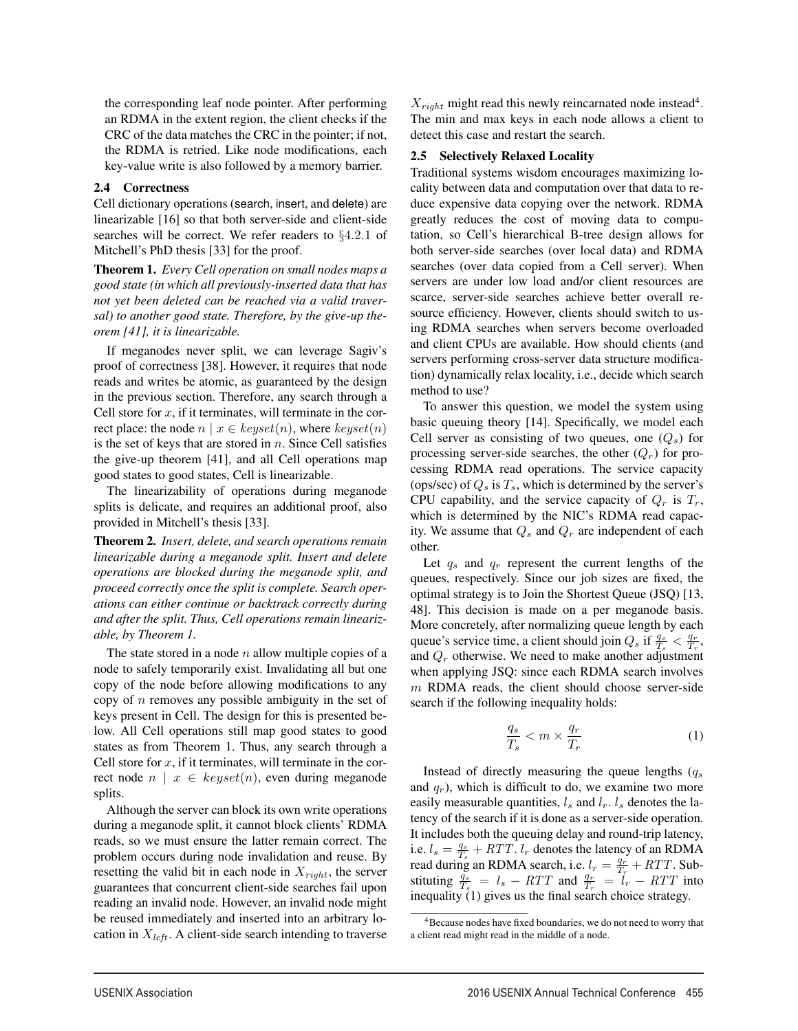the corresponding leaf node pointer. After performing an RDMA in the extent region, the client checks if the CRC of the data matches the CRC in the pointer; if not, the RDMA is retried. Like node modifications, each key-value write is also followed by a memory barrier.

#### 2.4 Correctness

Cell dictionary operations (search, insert, and delete) are linearizable [16] so that both server-side and client-side searches will be correct. We refer readers to §4.2.1 of Mitchell's PhD thesis [33] for the proof.

Theorem 1. *Every Cell operation on small nodes maps a good state (in which all previously-inserted data that has not yet been deleted can be reached via a valid traversal) to another good state. Therefore, by the give-up theorem [41], it is linearizable.*

If meganodes never split, we can leverage Sagiv's proof of correctness [38]. However, it requires that node reads and writes be atomic, as guaranteed by the design in the previous section. Therefore, any search through a Cell store for  $x$ , if it terminates, will terminate in the correct place: the node  $n | x \in \text{keyset}(n)$ , where  $\text{keyset}(n)$ is the set of keys that are stored in  $n$ . Since Cell satisfies the give-up theorem [41], and all Cell operations map good states to good states, Cell is linearizable.

The linearizability of operations during meganode splits is delicate, and requires an additional proof, also provided in Mitchell's thesis [33].

Theorem 2. *Insert, delete, and search operations remain linearizable during a meganode split. Insert and delete operations are blocked during the meganode split, and proceed correctly once the split is complete. Search operations can either continue or backtrack correctly during and after the split. Thus, Cell operations remain linearizable, by Theorem 1.*

The state stored in a node  $n$  allow multiple copies of a node to safely temporarily exist. Invalidating all but one copy of the node before allowing modifications to any copy of  $n$  removes any possible ambiguity in the set of keys present in Cell. The design for this is presented below. All Cell operations still map good states to good states as from Theorem 1. Thus, any search through a Cell store for  $x$ , if it terminates, will terminate in the correct node  $n \mid x \in \text{keyset}(n)$ , even during meganode splits.

Although the server can block its own write operations during a meganode split, it cannot block clients' RDMA reads, so we must ensure the latter remain correct. The problem occurs during node invalidation and reuse. By resetting the valid bit in each node in  $X_{right}$ , the server guarantees that concurrent client-side searches fail upon reading an invalid node. However, an invalid node might be reused immediately and inserted into an arbitrary location in  $X_{left}$ . A client-side search intending to traverse  $X_{right}$  might read this newly reincarnated node instead<sup>4</sup>. The min and max keys in each node allows a client to detect this case and restart the search.

#### 2.5 Selectively Relaxed Locality

Traditional systems wisdom encourages maximizing locality between data and computation over that data to reduce expensive data copying over the network. RDMA greatly reduces the cost of moving data to computation, so Cell's hierarchical B-tree design allows for both server-side searches (over local data) and RDMA searches (over data copied from a Cell server). When servers are under low load and/or client resources are scarce, server-side searches achieve better overall resource efficiency. However, clients should switch to using RDMA searches when servers become overloaded and client CPUs are available. How should clients (and servers performing cross-server data structure modification) dynamically relax locality, i.e., decide which search method to use?

To answer this question, we model the system using basic queuing theory [14]. Specifically, we model each Cell server as consisting of two queues, one  $(Q_s)$  for processing server-side searches, the other  $(Q<sub>r</sub>)$  for processing RDMA read operations. The service capacity (ops/sec) of  $Q_s$  is  $T_s$ , which is determined by the server's CPU capability, and the service capacity of  $Q_r$  is  $T_r$ , which is determined by the NIC's RDMA read capacity. We assume that  $Q_s$  and  $Q_r$  are independent of each other.

Let  $q_s$  and  $q_r$  represent the current lengths of the queues, respectively. Since our job sizes are fixed, the optimal strategy is to Join the Shortest Queue (JSQ) [13, 48]. This decision is made on a per meganode basis. More concretely, after normalizing queue length by each queue's service time, a client should join  $Q_s$  if  $\frac{q_s}{T_s} < \frac{q_r}{T_r}$ , and  $Q_r$  otherwise. We need to make another adjustment when applying JSQ: since each RDMA search involves  $m$  RDMA reads, the client should choose server-side search if the following inequality holds:

$$
\frac{q_s}{T_s} < m \times \frac{q_r}{T_r} \tag{1}
$$

Instead of directly measuring the queue lengths  $(q_s)$ and  $q_r$ ), which is difficult to do, we examine two more easily measurable quantities,  $l_s$  and  $l_r$ .  $l_s$  denotes the latency of the search if it is done as a server-side operation. It includes both the queuing delay and round-trip latency, i.e.  $l_s = \frac{q_s}{T_s} + RTT$ .  $l_r$  denotes the latency of an RDMA read during an RDMA search, i.e.  $l_r = \frac{q_r}{T_r} + RTT$ . Substituting  $\frac{q_s}{T_s} = l_s - RTT$  and  $\frac{q_r}{T_r} = l_r - RTT$  into inequality  $(1)$  gives us the final search choice strategy.

5

<sup>4</sup>Because nodes have fixed boundaries, we do not need to worry that a client read might read in the middle of a node.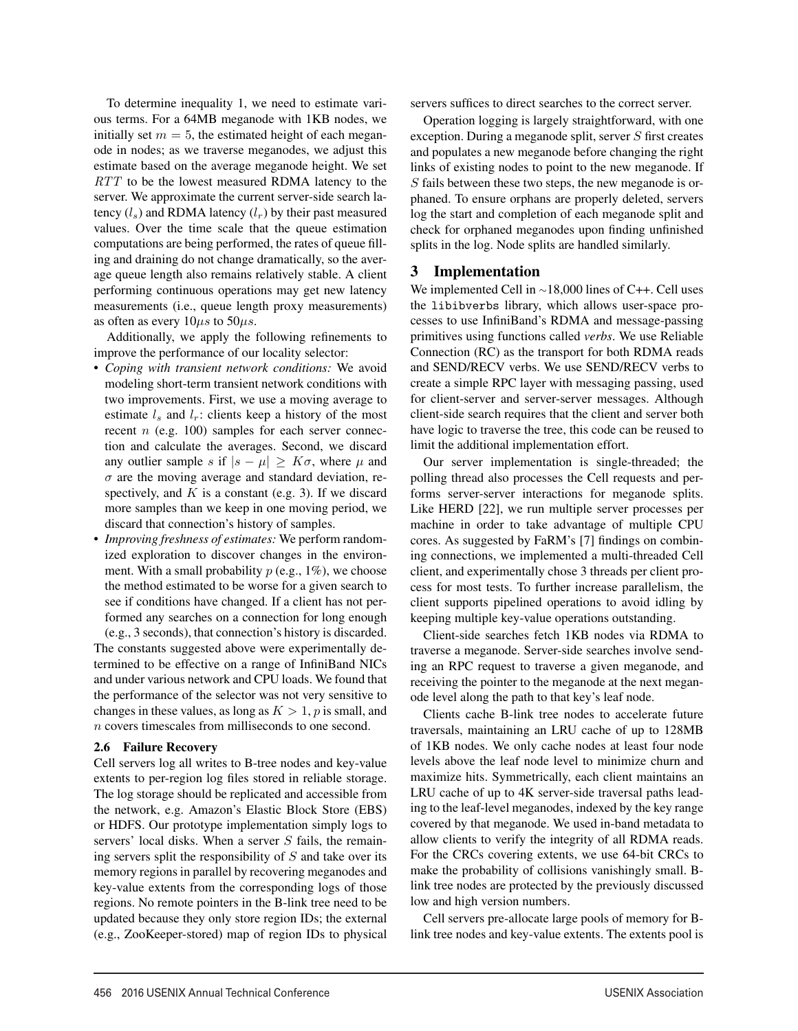To determine inequality 1, we need to estimate various terms. For a 64MB meganode with 1KB nodes, we initially set  $m = 5$ , the estimated height of each meganode in nodes; as we traverse meganodes, we adjust this estimate based on the average meganode height. We set RTT to be the lowest measured RDMA latency to the server. We approximate the current server-side search latency  $(l_s)$  and RDMA latency  $(l_r)$  by their past measured values. Over the time scale that the queue estimation computations are being performed, the rates of queue filling and draining do not change dramatically, so the average queue length also remains relatively stable. A client performing continuous operations may get new latency measurements (i.e., queue length proxy measurements) as often as every  $10\mu s$  to  $50\mu s$ .

Additionally, we apply the following refinements to improve the performance of our locality selector:

- *Coping with transient network conditions:* We avoid modeling short-term transient network conditions with two improvements. First, we use a moving average to estimate  $l_s$  and  $l_r$ : clients keep a history of the most recent  $n$  (e.g. 100) samples for each server connection and calculate the averages. Second, we discard any outlier sample s if  $|s - \mu| \geq K\sigma$ , where  $\mu$  and  $\sigma$  are the moving average and standard deviation, respectively, and  $K$  is a constant (e.g. 3). If we discard more samples than we keep in one moving period, we discard that connection's history of samples.
- *Improving freshness of estimates:* We perform randomized exploration to discover changes in the environment. With a small probability  $p$  (e.g., 1%), we choose the method estimated to be worse for a given search to see if conditions have changed. If a client has not performed any searches on a connection for long enough (e.g., 3 seconds), that connection's history is discarded.

The constants suggested above were experimentally determined to be effective on a range of InfiniBand NICs and under various network and CPU loads. We found that the performance of the selector was not very sensitive to changes in these values, as long as  $K > 1$ , p is small, and n covers timescales from milliseconds to one second.

## 2.6 Failure Recovery

Cell servers log all writes to B-tree nodes and key-value extents to per-region log files stored in reliable storage. The log storage should be replicated and accessible from the network, e.g. Amazon's Elastic Block Store (EBS) or HDFS. Our prototype implementation simply logs to servers' local disks. When a server  $S$  fails, the remaining servers split the responsibility of  $S$  and take over its memory regions in parallel by recovering meganodes and key-value extents from the corresponding logs of those regions. No remote pointers in the B-link tree need to be updated because they only store region IDs; the external (e.g., ZooKeeper-stored) map of region IDs to physical servers suffices to direct searches to the correct server.

Operation logging is largely straightforward, with one exception. During a meganode split, server S first creates and populates a new meganode before changing the right links of existing nodes to point to the new meganode. If S fails between these two steps, the new meganode is orphaned. To ensure orphans are properly deleted, servers log the start and completion of each meganode split and check for orphaned meganodes upon finding unfinished splits in the log. Node splits are handled similarly.

# 3 Implementation

We implemented Cell in <sup>∼</sup>18,000 lines of C++. Cell uses the libibverbs library, which allows user-space processes to use InfiniBand's RDMA and message-passing primitives using functions called *verbs*. We use Reliable Connection (RC) as the transport for both RDMA reads and SEND/RECV verbs. We use SEND/RECV verbs to create a simple RPC layer with messaging passing, used for client-server and server-server messages. Although client-side search requires that the client and server both have logic to traverse the tree, this code can be reused to limit the additional implementation effort.

Our server implementation is single-threaded; the polling thread also processes the Cell requests and performs server-server interactions for meganode splits. Like HERD [22], we run multiple server processes per machine in order to take advantage of multiple CPU cores. As suggested by FaRM's [7] findings on combining connections, we implemented a multi-threaded Cell client, and experimentally chose 3 threads per client process for most tests. To further increase parallelism, the client supports pipelined operations to avoid idling by keeping multiple key-value operations outstanding.

Client-side searches fetch 1KB nodes via RDMA to traverse a meganode. Server-side searches involve sending an RPC request to traverse a given meganode, and receiving the pointer to the meganode at the next meganode level along the path to that key's leaf node.

Clients cache B-link tree nodes to accelerate future traversals, maintaining an LRU cache of up to 128MB of 1KB nodes. We only cache nodes at least four node levels above the leaf node level to minimize churn and maximize hits. Symmetrically, each client maintains an LRU cache of up to 4K server-side traversal paths leading to the leaf-level meganodes, indexed by the key range covered by that meganode. We used in-band metadata to allow clients to verify the integrity of all RDMA reads. For the CRCs covering extents, we use 64-bit CRCs to make the probability of collisions vanishingly small. Blink tree nodes are protected by the previously discussed low and high version numbers.

Cell servers pre-allocate large pools of memory for Blink tree nodes and key-value extents. The extents pool is

6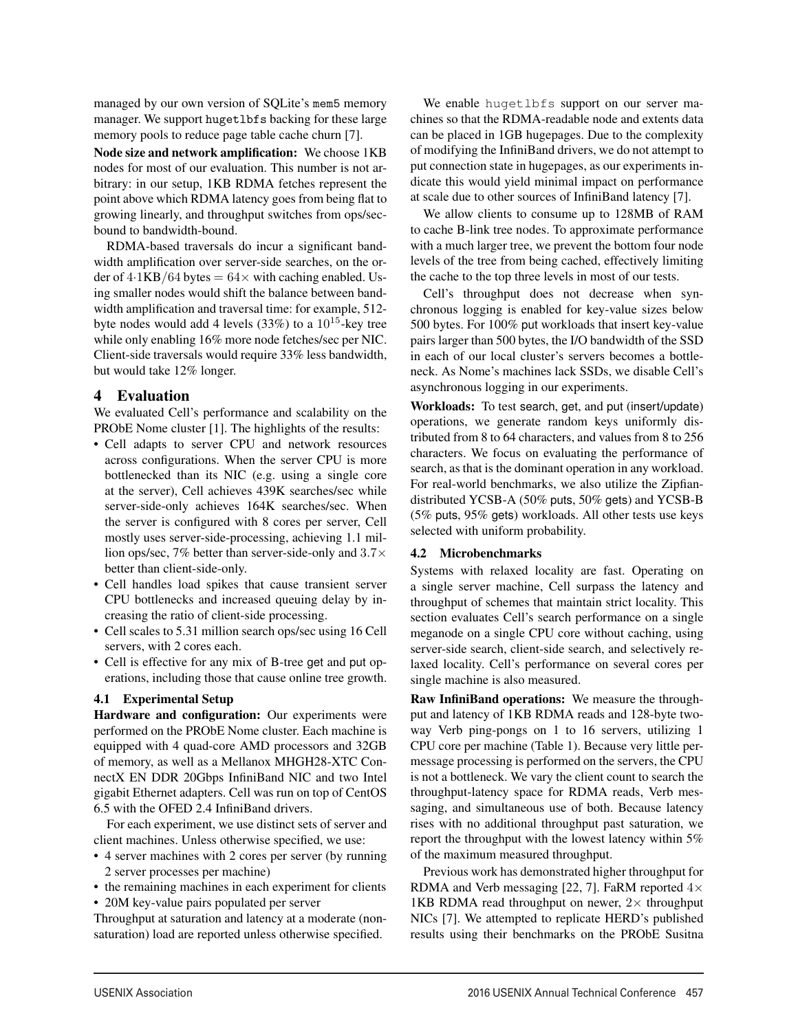managed by our own version of SOLite's mem5 memory manager. We support hugetlbfs backing for these large memory pools to reduce page table cache churn [7].

Node size and network amplification: We choose 1KB nodes for most of our evaluation. This number is not arbitrary: in our setup, 1KB RDMA fetches represent the point above which RDMA latency goes from being flat to growing linearly, and throughput switches from ops/secbound to bandwidth-bound.

RDMA-based traversals do incur a significant bandwidth amplification over server-side searches, on the order of  $4.1KB/64$  bytes  $= 64 \times$  with caching enabled. Using smaller nodes would shift the balance between bandwidth amplification and traversal time: for example, 512 byte nodes would add 4 levels  $(33\%)$  to a  $10^{15}$ -key tree while only enabling 16% more node fetches/sec per NIC. Client-side traversals would require 33% less bandwidth, but would take 12% longer.

# 4 Evaluation

We evaluated Cell's performance and scalability on the PRObE Nome cluster [1]. The highlights of the results:

- Cell adapts to server CPU and network resources across configurations. When the server CPU is more bottlenecked than its NIC (e.g. using a single core at the server), Cell achieves 439K searches/sec while server-side-only achieves 164K searches/sec. When the server is configured with 8 cores per server, Cell mostly uses server-side-processing, achieving 1.1 million ops/sec, 7% better than server-side-only and  $3.7\times$ better than client-side-only.
- Cell handles load spikes that cause transient server CPU bottlenecks and increased queuing delay by increasing the ratio of client-side processing.
- Cell scales to 5.31 million search ops/sec using 16 Cell servers, with 2 cores each.
- Cell is effective for any mix of B-tree get and put operations, including those that cause online tree growth.

## 4.1 Experimental Setup

Hardware and configuration: Our experiments were performed on the PRObE Nome cluster. Each machine is equipped with 4 quad-core AMD processors and 32GB of memory, as well as a Mellanox MHGH28-XTC ConnectX EN DDR 20Gbps InfiniBand NIC and two Intel gigabit Ethernet adapters. Cell was run on top of CentOS 6.5 with the OFED 2.4 InfiniBand drivers.

For each experiment, we use distinct sets of server and client machines. Unless otherwise specified, we use:

- 4 server machines with 2 cores per server (by running 2 server processes per machine)
- the remaining machines in each experiment for clients
- 20M key-value pairs populated per server

Throughput at saturation and latency at a moderate (nonsaturation) load are reported unless otherwise specified.

We enable hugetlbfs support on our server machines so that the RDMA-readable node and extents data can be placed in 1GB hugepages. Due to the complexity of modifying the InfiniBand drivers, we do not attempt to put connection state in hugepages, as our experiments indicate this would yield minimal impact on performance at scale due to other sources of InfiniBand latency [7].

We allow clients to consume up to 128MB of RAM to cache B-link tree nodes. To approximate performance with a much larger tree, we prevent the bottom four node levels of the tree from being cached, effectively limiting the cache to the top three levels in most of our tests.

Cell's throughput does not decrease when synchronous logging is enabled for key-value sizes below 500 bytes. For 100% put workloads that insert key-value pairs larger than 500 bytes, the I/O bandwidth of the SSD in each of our local cluster's servers becomes a bottleneck. As Nome's machines lack SSDs, we disable Cell's asynchronous logging in our experiments.

Workloads: To test search, get, and put (insert/update) operations, we generate random keys uniformly distributed from 8 to 64 characters, and values from 8 to 256 characters. We focus on evaluating the performance of search, as that is the dominant operation in any workload. For real-world benchmarks, we also utilize the Zipfiandistributed YCSB-A (50% puts, 50% gets) and YCSB-B (5% puts, 95% gets) workloads. All other tests use keys selected with uniform probability.

## 4.2 Microbenchmarks

7

Systems with relaxed locality are fast. Operating on a single server machine, Cell surpass the latency and throughput of schemes that maintain strict locality. This section evaluates Cell's search performance on a single meganode on a single CPU core without caching, using server-side search, client-side search, and selectively relaxed locality. Cell's performance on several cores per single machine is also measured.

Raw InfiniBand operations: We measure the throughput and latency of 1KB RDMA reads and 128-byte twoway Verb ping-pongs on 1 to 16 servers, utilizing 1 CPU core per machine (Table 1). Because very little permessage processing is performed on the servers, the CPU is not a bottleneck. We vary the client count to search the throughput-latency space for RDMA reads, Verb messaging, and simultaneous use of both. Because latency rises with no additional throughput past saturation, we report the throughput with the lowest latency within 5% of the maximum measured throughput.

Previous work has demonstrated higher throughput for RDMA and Verb messaging [22, 7]. FaRM reported  $4\times$ 1KB RDMA read throughput on newer,  $2 \times$  throughput NICs [7]. We attempted to replicate HERD's published results using their benchmarks on the PRObE Susitna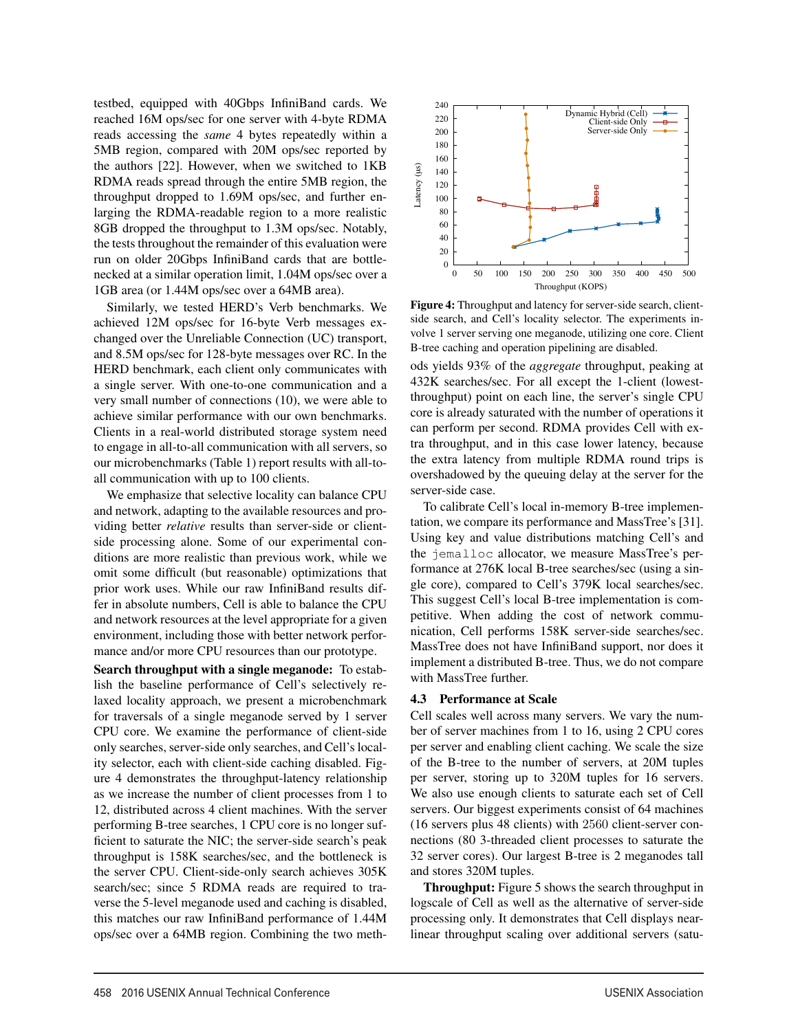testbed, equipped with 40Gbps InfiniBand cards. We reached 16M ops/sec for one server with 4-byte RDMA reads accessing the *same* 4 bytes repeatedly within a 5MB region, compared with 20M ops/sec reported by the authors [22]. However, when we switched to 1KB RDMA reads spread through the entire 5MB region, the throughput dropped to 1.69M ops/sec, and further enlarging the RDMA-readable region to a more realistic 8GB dropped the throughput to 1.3M ops/sec. Notably, the tests throughout the remainder of this evaluation were run on older 20Gbps InfiniBand cards that are bottlenecked at a similar operation limit, 1.04M ops/sec over a 1GB area (or 1.44M ops/sec over a 64MB area).

Similarly, we tested HERD's Verb benchmarks. We achieved 12M ops/sec for 16-byte Verb messages exchanged over the Unreliable Connection (UC) transport, and 8.5M ops/sec for 128-byte messages over RC. In the HERD benchmark, each client only communicates with a single server. With one-to-one communication and a very small number of connections (10), we were able to achieve similar performance with our own benchmarks. Clients in a real-world distributed storage system need to engage in all-to-all communication with all servers, so our microbenchmarks (Table 1) report results with all-toall communication with up to 100 clients.

We emphasize that selective locality can balance CPU and network, adapting to the available resources and providing better *relative* results than server-side or clientside processing alone. Some of our experimental conditions are more realistic than previous work, while we omit some difficult (but reasonable) optimizations that prior work uses. While our raw InfiniBand results differ in absolute numbers, Cell is able to balance the CPU and network resources at the level appropriate for a given environment, including those with better network performance and/or more CPU resources than our prototype.

Search throughput with a single meganode: To establish the baseline performance of Cell's selectively relaxed locality approach, we present a microbenchmark for traversals of a single meganode served by 1 server CPU core. We examine the performance of client-side only searches, server-side only searches, and Cell's locality selector, each with client-side caching disabled. Figure 4 demonstrates the throughput-latency relationship as we increase the number of client processes from 1 to 12, distributed across 4 client machines. With the server performing B-tree searches, 1 CPU core is no longer sufficient to saturate the NIC; the server-side search's peak throughput is 158K searches/sec, and the bottleneck is the server CPU. Client-side-only search achieves 305K search/sec; since 5 RDMA reads are required to traverse the 5-level meganode used and caching is disabled, this matches our raw InfiniBand performance of 1.44M ops/sec over a 64MB region. Combining the two meth-



Figure 4: Throughput and latency for server-side search, clientside search, and Cell's locality selector. The experiments involve 1 server serving one meganode, utilizing one core. Client B-tree caching and operation pipelining are disabled.

ods yields 93% of the *aggregate* throughput, peaking at 432K searches/sec. For all except the 1-client (lowestthroughput) point on each line, the server's single CPU core is already saturated with the number of operations it can perform per second. RDMA provides Cell with extra throughput, and in this case lower latency, because the extra latency from multiple RDMA round trips is overshadowed by the queuing delay at the server for the server-side case.

To calibrate Cell's local in-memory B-tree implementation, we compare its performance and MassTree's [31]. Using key and value distributions matching Cell's and the jemalloc allocator, we measure MassTree's performance at 276K local B-tree searches/sec (using a single core), compared to Cell's 379K local searches/sec. This suggest Cell's local B-tree implementation is competitive. When adding the cost of network communication, Cell performs 158K server-side searches/sec. MassTree does not have InfiniBand support, nor does it implement a distributed B-tree. Thus, we do not compare with MassTree further.

#### 4.3 Performance at Scale

8

Cell scales well across many servers. We vary the number of server machines from 1 to 16, using 2 CPU cores per server and enabling client caching. We scale the size of the B-tree to the number of servers, at 20M tuples per server, storing up to 320M tuples for 16 servers. We also use enough clients to saturate each set of Cell servers. Our biggest experiments consist of 64 machines (16 servers plus 48 clients) with 2560 client-server connections (80 3-threaded client processes to saturate the 32 server cores). Our largest B-tree is 2 meganodes tall and stores 320M tuples.

Throughput: Figure 5 shows the search throughput in logscale of Cell as well as the alternative of server-side processing only. It demonstrates that Cell displays nearlinear throughput scaling over additional servers (satu-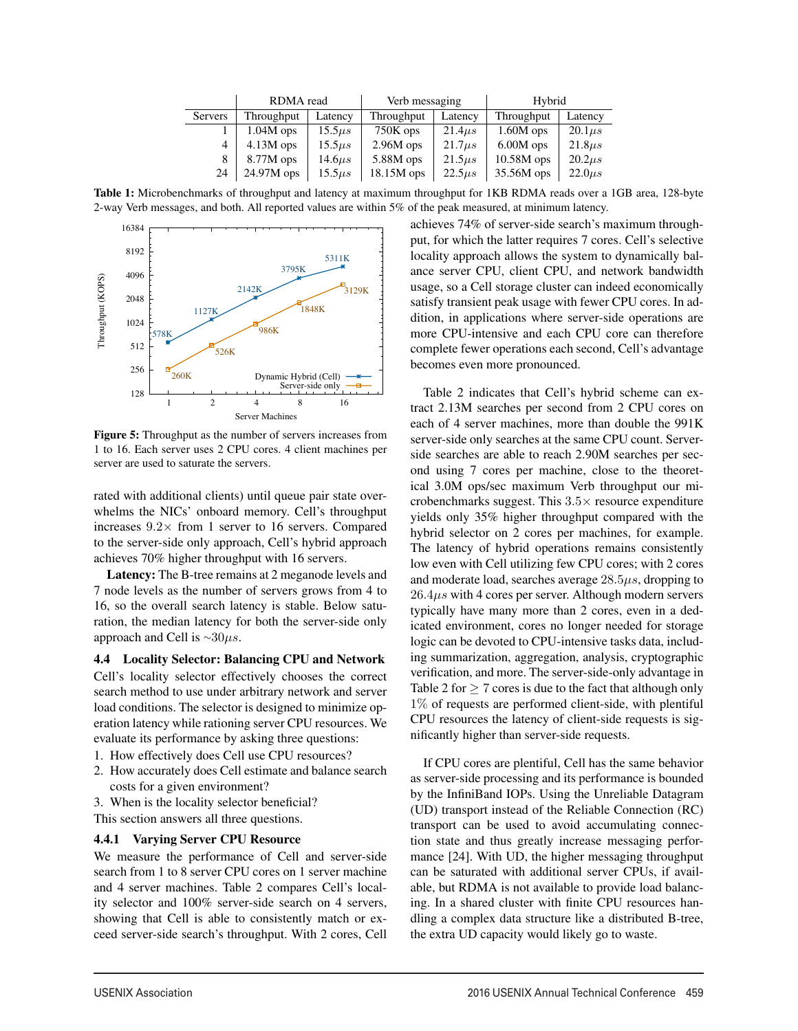|                | RDMA read    |              | Verb messaging |              | Hybrid       |              |  |
|----------------|--------------|--------------|----------------|--------------|--------------|--------------|--|
| <b>Servers</b> | Throughput   | Latency      | Throughput     | Latency      | Throughput   | Latency      |  |
|                | $1.04M$ ops  | $15.5\mu s$  | $750K$ ops     | $21.4\mu s$  | $1.60M$ ops  | $20.1\mu s$  |  |
| $\overline{4}$ | $4.13M$ ops  | $15.5\mu s$  | $2.96M$ ops    | $21.7 \mu s$ | $6.00M$ ops  | $21.8\mu s$  |  |
| 8              | $8.77M$ ops  | $14.6 \mu s$ | $5.88M$ ops    | $21.5\mu s$  | $10.58M$ ops | $20.2\mu s$  |  |
| 24             | $24.97M$ ops | $15.5\mu s$  | 18.15M ops     | $22.5\mu s$  | 35.56M ops   | $22.0 \mu s$ |  |

Table 1: Microbenchmarks of throughput and latency at maximum throughput for 1KB RDMA reads over a 1GB area, 128-byte 2-way Verb messages, and both. All reported values are within 5% of the peak measured, at minimum latency.

9



Figure 5: Throughput as the number of servers increases from 1 to 16. Each server uses 2 CPU cores. 4 client machines per server are used to saturate the servers.

rated with additional clients) until queue pair state overwhelms the NICs' onboard memory. Cell's throughput increases  $9.2 \times$  from 1 server to 16 servers. Compared to the server-side only approach, Cell's hybrid approach achieves 70% higher throughput with 16 servers.

Latency: The B-tree remains at 2 meganode levels and 7 node levels as the number of servers grows from 4 to 16, so the overall search latency is stable. Below saturation, the median latency for both the server-side only approach and Cell is  $\sim$ 30 $\mu$ s.

4.4 Locality Selector: Balancing CPU and Network Cell's locality selector effectively chooses the correct search method to use under arbitrary network and server load conditions. The selector is designed to minimize operation latency while rationing server CPU resources. We evaluate its performance by asking three questions:

- 1. How effectively does Cell use CPU resources?
- 2. How accurately does Cell estimate and balance search costs for a given environment?
- 3. When is the locality selector beneficial?

This section answers all three questions.

## 4.4.1 Varying Server CPU Resource

We measure the performance of Cell and server-side search from 1 to 8 server CPU cores on 1 server machine and 4 server machines. Table 2 compares Cell's locality selector and 100% server-side search on 4 servers, showing that Cell is able to consistently match or exceed server-side search's throughput. With 2 cores, Cell achieves 74% of server-side search's maximum throughput, for which the latter requires 7 cores. Cell's selective locality approach allows the system to dynamically balance server CPU, client CPU, and network bandwidth usage, so a Cell storage cluster can indeed economically satisfy transient peak usage with fewer CPU cores. In addition, in applications where server-side operations are more CPU-intensive and each CPU core can therefore complete fewer operations each second, Cell's advantage becomes even more pronounced.

Table 2 indicates that Cell's hybrid scheme can extract 2.13M searches per second from 2 CPU cores on each of 4 server machines, more than double the 991K server-side only searches at the same CPU count. Serverside searches are able to reach 2.90M searches per second using 7 cores per machine, close to the theoretical 3.0M ops/sec maximum Verb throughput our microbenchmarks suggest. This  $3.5\times$  resource expenditure yields only 35% higher throughput compared with the hybrid selector on 2 cores per machines, for example. The latency of hybrid operations remains consistently low even with Cell utilizing few CPU cores; with 2 cores and moderate load, searches average  $28.5\mu s$ , dropping to  $26.4\mu s$  with 4 cores per server. Although modern servers typically have many more than 2 cores, even in a dedicated environment, cores no longer needed for storage logic can be devoted to CPU-intensive tasks data, including summarization, aggregation, analysis, cryptographic verification, and more. The server-side-only advantage in Table 2 for  $\geq 7$  cores is due to the fact that although only 1% of requests are performed client-side, with plentiful CPU resources the latency of client-side requests is significantly higher than server-side requests.

If CPU cores are plentiful, Cell has the same behavior as server-side processing and its performance is bounded by the InfiniBand IOPs. Using the Unreliable Datagram (UD) transport instead of the Reliable Connection (RC) transport can be used to avoid accumulating connection state and thus greatly increase messaging performance [24]. With UD, the higher messaging throughput can be saturated with additional server CPUs, if available, but RDMA is not available to provide load balancing. In a shared cluster with finite CPU resources handling a complex data structure like a distributed B-tree, the extra UD capacity would likely go to waste.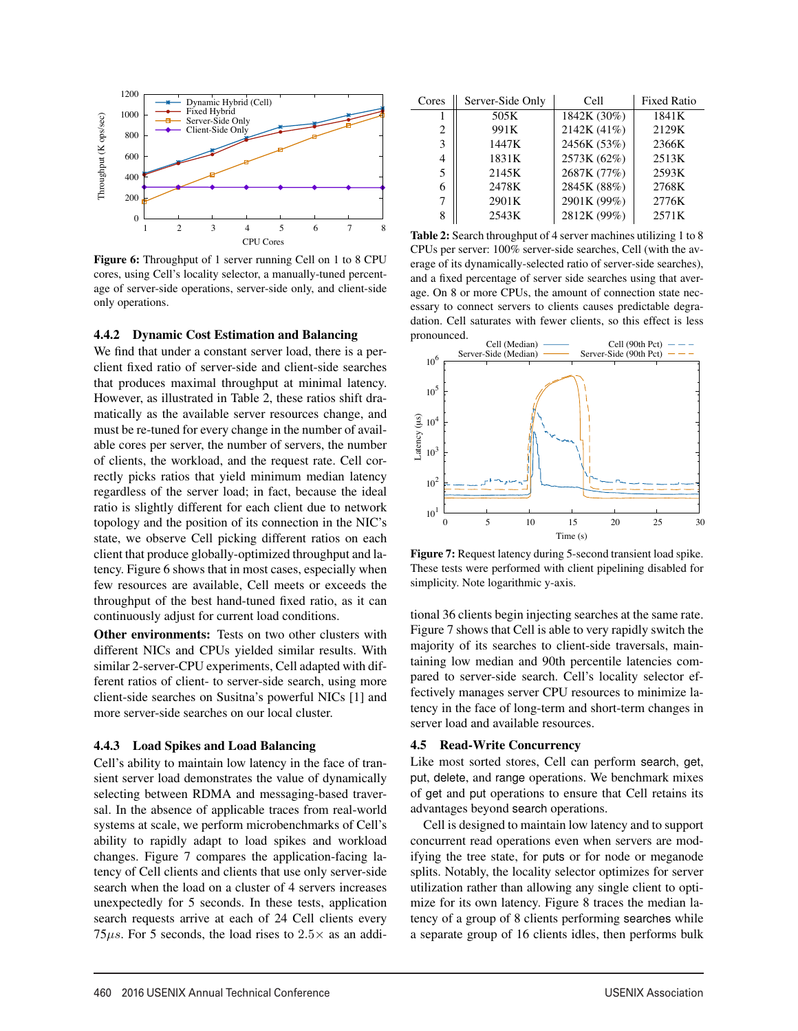

Figure 6: Throughput of 1 server running Cell on 1 to 8 CPU cores, using Cell's locality selector, a manually-tuned percentage of server-side operations, server-side only, and client-side only operations.

#### 4.4.2 Dynamic Cost Estimation and Balancing

We find that under a constant server load, there is a perclient fixed ratio of server-side and client-side searches that produces maximal throughput at minimal latency. However, as illustrated in Table 2, these ratios shift dramatically as the available server resources change, and must be re-tuned for every change in the number of available cores per server, the number of servers, the number of clients, the workload, and the request rate. Cell correctly picks ratios that yield minimum median latency regardless of the server load; in fact, because the ideal ratio is slightly different for each client due to network topology and the position of its connection in the NIC's state, we observe Cell picking different ratios on each client that produce globally-optimized throughput and latency. Figure 6 shows that in most cases, especially when few resources are available, Cell meets or exceeds the throughput of the best hand-tuned fixed ratio, as it can continuously adjust for current load conditions.

Other environments: Tests on two other clusters with different NICs and CPUs yielded similar results. With similar 2-server-CPU experiments, Cell adapted with different ratios of client- to server-side search, using more client-side searches on Susitna's powerful NICs [1] and more server-side searches on our local cluster.

#### 4.4.3 Load Spikes and Load Balancing

Cell's ability to maintain low latency in the face of transient server load demonstrates the value of dynamically selecting between RDMA and messaging-based traversal. In the absence of applicable traces from real-world systems at scale, we perform microbenchmarks of Cell's ability to rapidly adapt to load spikes and workload changes. Figure 7 compares the application-facing latency of Cell clients and clients that use only server-side search when the load on a cluster of 4 servers increases unexpectedly for 5 seconds. In these tests, application search requests arrive at each of 24 Cell clients every 75 $\mu$ s. For 5 seconds, the load rises to 2.5 $\times$  as an addi-

| Cores | Server-Side Only | Cell        | <b>Fixed Ratio</b> |
|-------|------------------|-------------|--------------------|
|       | 505K             | 1842K (30%) | 1841K              |
| 2     | 991K             | 2142K (41%) | 2129K              |
| 3     | 1447K            | 2456K (53%) | 2366K              |
| 4     | 1831K            | 2573K (62%) | 2513K              |
| 5     | 2145K            | 2687K (77%) | 2593K              |
| 6     | 2478K            | 2845K (88%) | 2768K              |
| 7     | 2901K            | 2901K (99%) | 2776K              |
| 8     | 2543K            | 2812K (99%) | 2571K              |

Table 2: Search throughput of 4 server machines utilizing 1 to 8 CPUs per server: 100% server-side searches, Cell (with the average of its dynamically-selected ratio of server-side searches), and a fixed percentage of server side searches using that average. On 8 or more CPUs, the amount of connection state necessary to connect servers to clients causes predictable degradation. Cell saturates with fewer clients, so this effect is less pronounced.



Figure 7: Request latency during 5-second transient load spike. These tests were performed with client pipelining disabled for simplicity. Note logarithmic y-axis.

tional 36 clients begin injecting searches at the same rate. Figure 7 shows that Cell is able to very rapidly switch the majority of its searches to client-side traversals, maintaining low median and 90th percentile latencies compared to server-side search. Cell's locality selector effectively manages server CPU resources to minimize latency in the face of long-term and short-term changes in server load and available resources.

#### 4.5 Read-Write Concurrency

 $\overline{a}$ 

Like most sorted stores, Cell can perform search, get, put, delete, and range operations. We benchmark mixes of get and put operations to ensure that Cell retains its advantages beyond search operations.

Cell is designed to maintain low latency and to support concurrent read operations even when servers are modifying the tree state, for puts or for node or meganode splits. Notably, the locality selector optimizes for server utilization rather than allowing any single client to optimize for its own latency. Figure 8 traces the median latency of a group of 8 clients performing searches while a separate group of 16 clients idles, then performs bulk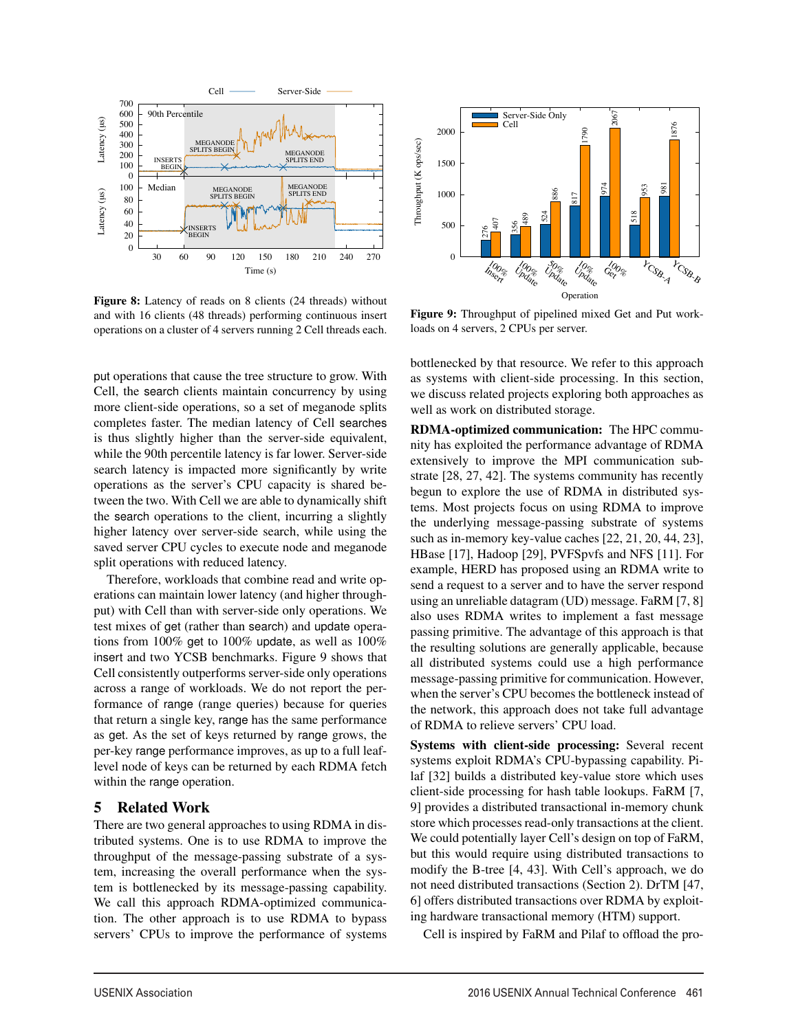

Figure 8: Latency of reads on 8 clients (24 threads) without and with 16 clients (48 threads) performing continuous insert operations on a cluster of 4 servers running 2 Cell threads each.

put operations that cause the tree structure to grow. With Cell, the search clients maintain concurrency by using more client-side operations, so a set of meganode splits completes faster. The median latency of Cell searches is thus slightly higher than the server-side equivalent, while the 90th percentile latency is far lower. Server-side search latency is impacted more significantly by write operations as the server's CPU capacity is shared between the two. With Cell we are able to dynamically shift the search operations to the client, incurring a slightly higher latency over server-side search, while using the saved server CPU cycles to execute node and meganode split operations with reduced latency.

Therefore, workloads that combine read and write operations can maintain lower latency (and higher throughput) with Cell than with server-side only operations. We test mixes of get (rather than search) and update operations from 100% get to 100% update, as well as 100% insert and two YCSB benchmarks. Figure 9 shows that Cell consistently outperforms server-side only operations across a range of workloads. We do not report the performance of range (range queries) because for queries that return a single key, range has the same performance as get. As the set of keys returned by range grows, the per-key range performance improves, as up to a full leaflevel node of keys can be returned by each RDMA fetch within the range operation.

## 5 Related Work

There are two general approaches to using RDMA in distributed systems. One is to use RDMA to improve the throughput of the message-passing substrate of a system, increasing the overall performance when the system is bottlenecked by its message-passing capability. We call this approach RDMA-optimized communication. The other approach is to use RDMA to bypass servers' CPUs to improve the performance of systems



Figure 9: Throughput of pipelined mixed Get and Put workloads on 4 servers, 2 CPUs per server.

bottlenecked by that resource. We refer to this approach as systems with client-side processing. In this section, we discuss related projects exploring both approaches as well as work on distributed storage.

RDMA-optimized communication: The HPC community has exploited the performance advantage of RDMA extensively to improve the MPI communication substrate [28, 27, 42]. The systems community has recently begun to explore the use of RDMA in distributed systems. Most projects focus on using RDMA to improve the underlying message-passing substrate of systems such as in-memory key-value caches [22, 21, 20, 44, 23], HBase [17], Hadoop [29], PVFSpvfs and NFS [11]. For example, HERD has proposed using an RDMA write to send a request to a server and to have the server respond using an unreliable datagram (UD) message. FaRM [7, 8] also uses RDMA writes to implement a fast message passing primitive. The advantage of this approach is that the resulting solutions are generally applicable, because all distributed systems could use a high performance message-passing primitive for communication. However, when the server's CPU becomes the bottleneck instead of the network, this approach does not take full advantage of RDMA to relieve servers' CPU load.

Systems with client-side processing: Several recent systems exploit RDMA's CPU-bypassing capability. Pilaf [32] builds a distributed key-value store which uses client-side processing for hash table lookups. FaRM [7, 9] provides a distributed transactional in-memory chunk store which processes read-only transactions at the client. We could potentially layer Cell's design on top of FaRM, but this would require using distributed transactions to modify the B-tree [4, 43]. With Cell's approach, we do not need distributed transactions (Section 2). DrTM [47, 6] offers distributed transactions over RDMA by exploiting hardware transactional memory (HTM) support.

Cell is inspired by FaRM and Pilaf to offload the pro-

 $\overline{1}$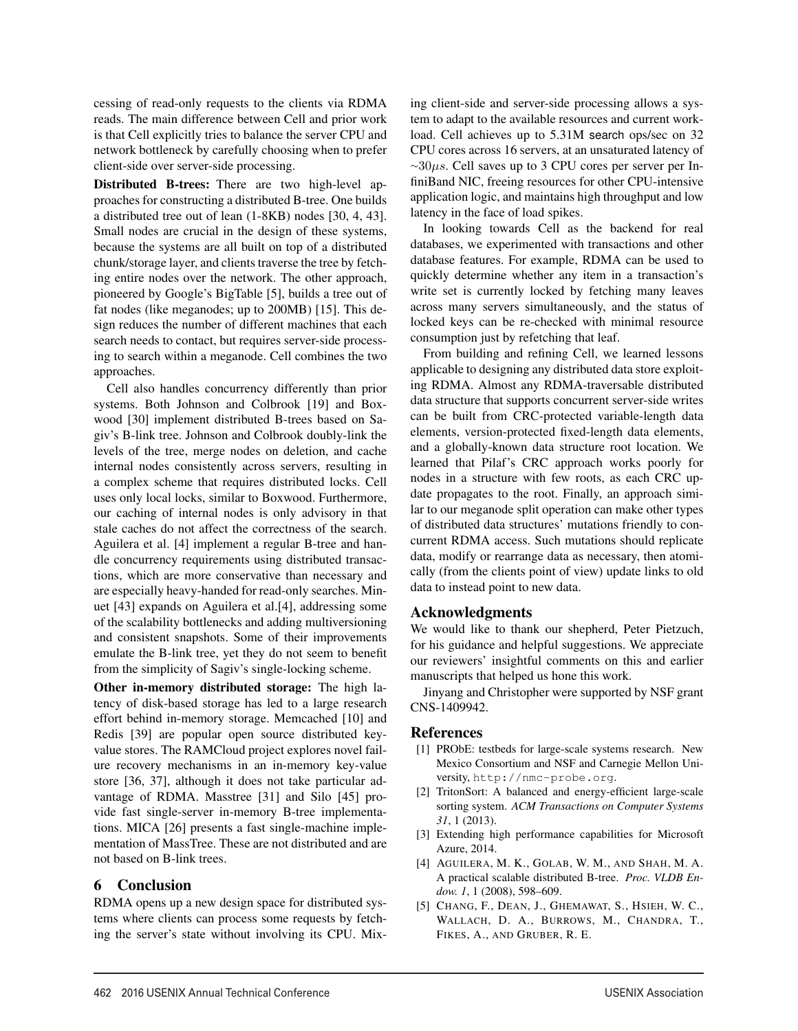cessing of read-only requests to the clients via RDMA reads. The main difference between Cell and prior work is that Cell explicitly tries to balance the server CPU and network bottleneck by carefully choosing when to prefer client-side over server-side processing.

Distributed B-trees: There are two high-level approaches for constructing a distributed B-tree. One builds a distributed tree out of lean (1-8KB) nodes [30, 4, 43]. Small nodes are crucial in the design of these systems, because the systems are all built on top of a distributed chunk/storage layer, and clients traverse the tree by fetching entire nodes over the network. The other approach, pioneered by Google's BigTable [5], builds a tree out of fat nodes (like meganodes; up to 200MB) [15]. This design reduces the number of different machines that each search needs to contact, but requires server-side processing to search within a meganode. Cell combines the two approaches.

Cell also handles concurrency differently than prior systems. Both Johnson and Colbrook [19] and Boxwood [30] implement distributed B-trees based on Sagiv's B-link tree. Johnson and Colbrook doubly-link the levels of the tree, merge nodes on deletion, and cache internal nodes consistently across servers, resulting in a complex scheme that requires distributed locks. Cell uses only local locks, similar to Boxwood. Furthermore, our caching of internal nodes is only advisory in that stale caches do not affect the correctness of the search. Aguilera et al. [4] implement a regular B-tree and handle concurrency requirements using distributed transactions, which are more conservative than necessary and are especially heavy-handed for read-only searches. Minuet [43] expands on Aguilera et al.[4], addressing some of the scalability bottlenecks and adding multiversioning and consistent snapshots. Some of their improvements emulate the B-link tree, yet they do not seem to benefit from the simplicity of Sagiv's single-locking scheme.

Other in-memory distributed storage: The high latency of disk-based storage has led to a large research effort behind in-memory storage. Memcached [10] and Redis [39] are popular open source distributed keyvalue stores. The RAMCloud project explores novel failure recovery mechanisms in an in-memory key-value store [36, 37], although it does not take particular advantage of RDMA. Masstree [31] and Silo [45] provide fast single-server in-memory B-tree implementations. MICA [26] presents a fast single-machine implementation of MassTree. These are not distributed and are not based on B-link trees.

## 6 Conclusion

RDMA opens up a new design space for distributed systems where clients can process some requests by fetching the server's state without involving its CPU. Mixing client-side and server-side processing allows a system to adapt to the available resources and current workload. Cell achieves up to 5.31M search ops/sec on 32 CPU cores across 16 servers, at an unsaturated latency of  $\sim$ 30 $\mu$ s. Cell saves up to 3 CPU cores per server per InfiniBand NIC, freeing resources for other CPU-intensive application logic, and maintains high throughput and low latency in the face of load spikes.

In looking towards Cell as the backend for real databases, we experimented with transactions and other database features. For example, RDMA can be used to quickly determine whether any item in a transaction's write set is currently locked by fetching many leaves across many servers simultaneously, and the status of locked keys can be re-checked with minimal resource consumption just by refetching that leaf.

From building and refining Cell, we learned lessons applicable to designing any distributed data store exploiting RDMA. Almost any RDMA-traversable distributed data structure that supports concurrent server-side writes can be built from CRC-protected variable-length data elements, version-protected fixed-length data elements, and a globally-known data structure root location. We learned that Pilaf's CRC approach works poorly for nodes in a structure with few roots, as each CRC update propagates to the root. Finally, an approach similar to our meganode split operation can make other types of distributed data structures' mutations friendly to concurrent RDMA access. Such mutations should replicate data, modify or rearrange data as necessary, then atomically (from the clients point of view) update links to old data to instead point to new data.

## Acknowledgments

We would like to thank our shepherd, Peter Pietzuch, for his guidance and helpful suggestions. We appreciate our reviewers' insightful comments on this and earlier manuscripts that helped us hone this work.

Jinyang and Christopher were supported by NSF grant CNS-1409942.

## References

 $\overline{a}$ 

- [1] PRObE: testbeds for large-scale systems research. New Mexico Consortium and NSF and Carnegie Mellon University, http://nmc-probe.org.
- [2] TritonSort: A balanced and energy-efficient large-scale sorting system. *ACM Transactions on Computer Systems 31*, 1 (2013).
- [3] Extending high performance capabilities for Microsoft Azure, 2014.
- [4] AGUILERA, M. K., GOLAB, W. M., AND SHAH, M. A. A practical scalable distributed B-tree. *Proc. VLDB Endow. 1*, 1 (2008), 598–609.
- [5] CHANG, F., DEAN, J., GHEMAWAT, S., HSIEH, W. C., WALLACH, D. A., BURROWS, M., CHANDRA, T., FIKES, A., AND GRUBER, R. E.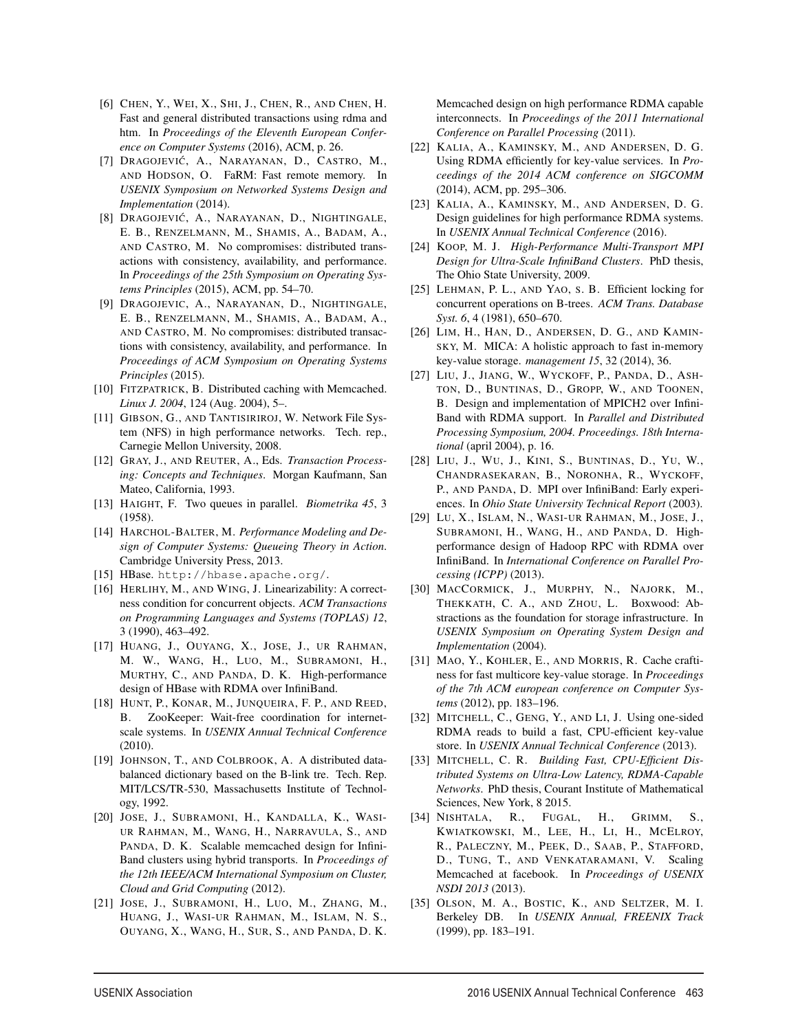- [6] CHEN, Y., WEI, X., SHI, J., CHEN, R., AND CHEN, H. Fast and general distributed transactions using rdma and htm. In *Proceedings of the Eleventh European Conference on Computer Systems* (2016), ACM, p. 26.
- [7] DRAGOJEVIĆ, A., NARAYANAN, D., CASTRO, M., AND HODSON, O. FaRM: Fast remote memory. In *USENIX Symposium on Networked Systems Design and Implementation* (2014).
- [8] DRAGOJEVIĆ, A., NARAYANAN, D., NIGHTINGALE, E. B., RENZELMANN, M., SHAMIS, A., BADAM, A., AND CASTRO, M. No compromises: distributed transactions with consistency, availability, and performance. In *Proceedings of the 25th Symposium on Operating Systems Principles* (2015), ACM, pp. 54–70.
- [9] DRAGOJEVIC, A., NARAYANAN, D., NIGHTINGALE, E. B., RENZELMANN, M., SHAMIS, A., BADAM, A., AND CASTRO, M. No compromises: distributed transactions with consistency, availability, and performance. In *Proceedings of ACM Symposium on Operating Systems Principles* (2015).
- [10] FITZPATRICK, B. Distributed caching with Memcached. *Linux J. 2004*, 124 (Aug. 2004), 5–.
- [11] GIBSON, G., AND TANTISIRIROJ, W. Network File System (NFS) in high performance networks. Tech. rep., Carnegie Mellon University, 2008.
- [12] GRAY, J., AND REUTER, A., Eds. *Transaction Processing: Concepts and Techniques*. Morgan Kaufmann, San Mateo, California, 1993.
- [13] HAIGHT, F. Two queues in parallel. *Biometrika 45*, 3 (1958).
- [14] HARCHOL-BALTER, M. Performance Modeling and De*sign of Computer Systems: Queueing Theory in Action*. Cambridge University Press, 2013.
- [15] HBase. http://hbase.apache.org/.
- [16] HERLIHY, M., AND WING, J. Linearizability: A correctness condition for concurrent objects. *ACM Transactions on Programming Languages and Systems (TOPLAS) 12*, 3 (1990), 463–492.
- [17] HUANG, J., OUYANG, X., JOSE, J., UR RAHMAN, M. W., WANG, H., LUO, M., SUBRAMONI, H., MURTHY, C., AND PANDA, D. K. High-performance design of HBase with RDMA over InfiniBand.
- [18] HUNT, P., KONAR, M., JUNQUEIRA, F. P., AND REED, B. ZooKeeper: Wait-free coordination for internetscale systems. In *USENIX Annual Technical Conference* (2010).
- [19] JOHNSON, T., AND COLBROOK, A. A distributed databalanced dictionary based on the B-link tre. Tech. Rep. MIT/LCS/TR-530, Massachusetts Institute of Technology, 1992.
- [20] JOSE, J., SUBRAMONI, H., KANDALLA, K., WASI-UR RAHMAN, M., WANG, H., NARRAVULA, S., AND PANDA, D. K. Scalable memcached design for Infini-Band clusters using hybrid transports. In *Proceedings of the 12th IEEE/ACM International Symposium on Cluster, Cloud and Grid Computing* (2012).
- [21] JOSE, J., SUBRAMONI, H., LUO, M., ZHANG, M., HUANG, J., WASI-UR RAHMAN, M., ISLAM, N. S., OUYANG, X., WANG, H., SUR, S., AND PANDA, D. K.

 $\overline{a}$ 

Memcached design on high performance RDMA capable interconnects. In *Proceedings of the 2011 International Conference on Parallel Processing* (2011).

- [22] KALIA, A., KAMINSKY, M., AND ANDERSEN, D. G. Using RDMA efficiently for key-value services. In *Proceedings of the 2014 ACM conference on SIGCOMM* (2014), ACM, pp. 295–306.
- [23] KALIA, A., KAMINSKY, M., AND ANDERSEN, D. G. Design guidelines for high performance RDMA systems. In *USENIX Annual Technical Conference* (2016).
- [24] KOOP, M. J. *High-Performance Multi-Transport MPI Design for Ultra-Scale InfiniBand Clusters*. PhD thesis, The Ohio State University, 2009.
- [25] LEHMAN, P. L., AND YAO, S. B. Efficient locking for concurrent operations on B-trees. *ACM Trans. Database Syst. 6*, 4 (1981), 650–670.
- [26] LIM, H., HAN, D., ANDERSEN, D. G., AND KAMIN-SKY, M. MICA: A holistic approach to fast in-memory key-value storage. *management 15*, 32 (2014), 36.
- [27] LIU, J., JIANG, W., WYCKOFF, P., PANDA, D., ASH-TON, D., BUNTINAS, D., GROPP, W., AND TOONEN, B. Design and implementation of MPICH2 over Infini-Band with RDMA support. In *Parallel and Distributed Processing Symposium, 2004. Proceedings. 18th International* (april 2004), p. 16.
- [28] LIU, J., WU, J., KINI, S., BUNTINAS, D., YU, W., CHANDRASEKARAN, B., NORONHA, R., WYCKOFF, P., AND PANDA, D. MPI over InfiniBand: Early experiences. In *Ohio State University Technical Report* (2003).
- [29] LU, X., ISLAM, N., WASI-UR RAHMAN, M., JOSE, J., SUBRAMONI, H., WANG, H., AND PANDA, D. Highperformance design of Hadoop RPC with RDMA over InfiniBand. In *International Conference on Parallel Processing (ICPP)* (2013).
- [30] MACCORMICK, J., MURPHY, N., NAJORK, M., THEKKATH, C. A., AND ZHOU, L. Boxwood: Abstractions as the foundation for storage infrastructure. In *USENIX Symposium on Operating System Design and Implementation* (2004).
- [31] MAO, Y., KOHLER, E., AND MORRIS, R. Cache craftiness for fast multicore key-value storage. In *Proceedings of the 7th ACM european conference on Computer Systems* (2012), pp. 183–196.
- [32] MITCHELL, C., GENG, Y., AND LI, J. Using one-sided RDMA reads to build a fast, CPU-efficient key-value store. In *USENIX Annual Technical Conference* (2013).
- [33] MITCHELL, C. R. *Building Fast, CPU-Efficient Distributed Systems on Ultra-Low Latency, RDMA-Capable Networks*. PhD thesis, Courant Institute of Mathematical Sciences, New York, 8 2015.
- [34] NISHTALA, R., FUGAL, H., GRIMM, S., KWIATKOWSKI, M., LEE, H., LI, H., MCELROY, R., PALECZNY, M., PEEK, D., SAAB, P., STAFFORD, D., TUNG, T., AND VENKATARAMANI, V. Scaling Memcached at facebook. In *Proceedings of USENIX NSDI 2013* (2013).
- [35] OLSON, M. A., BOSTIC, K., AND SELTZER, M. I. Berkeley DB. In *USENIX Annual, FREENIX Track* (1999), pp. 183–191.